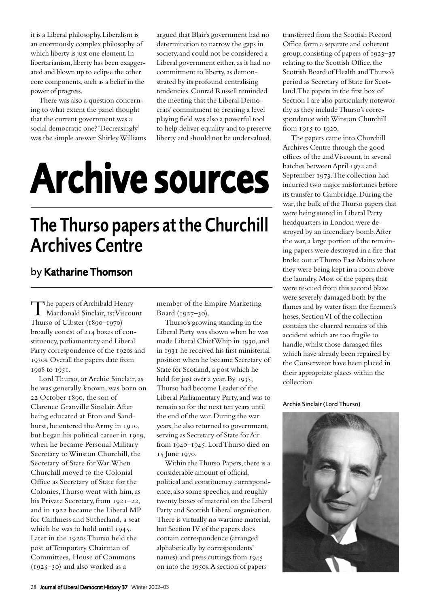it is a Liberal philosophy. Liberalism is an enormously complex philosophy of which liberty is just one element. In libertarianism, liberty has been exaggerated and blown up to eclipse the other core components, such as a belief in the power of progress.

There was also a question concerning to what extent the panel thought that the current government was a social democratic one? 'Decreasingly' was the simple answer. Shirley Williams argued that Blair's government had no determination to narrow the gaps in society, and could not be considered a Liberal government either, as it had no commitment to liberty, as demonstrated by its profound centralising tendencies. Conrad Russell reminded the meeting that the Liberal Democrats' commitment to creating a level playing field was also a powerful tool to help deliver equality and to preserve liberty and should not be undervalued.

## Archive sources

## The Thurso papers at the Churchill Archives Centre

## by Katharine Thomson

The papers of Archibald Henry<br>Macdonald Sinclair, 1st Viscount Thurso of Ulbster  $(1890-1970)$ broadly consist of 214 boxes of constituency, parliamentary and Liberal Party correspondence of the 1920s and 1930s. Overall the papers date from 1908 to 1951.

Lord Thurso, or Archie Sinclair, as he was generally known, was born on 22 October 1890, the son of Clarence Granville Sinclair. After being educated at Eton and Sandhurst, he entered the Army in 1910, but began his political career in 1919, when he became Personal Military Secretary to Winston Churchill, the Secretary of State for War. When Churchill moved to the Colonial Office as Secretary of State for the Colonies, Thurso went with him, as his Private Secretary, from  $1921-22$ , and in 1922 became the Liberal MP for Caithness and Sutherland, a seat which he was to hold until  $1945$ . Later in the 1920s Thurso held the post of Temporary Chairman of Committees, House of Commons  $(1925-30)$  and also worked as a

member of the Empire Marketing Board  $(1927 - 30)$ .

Thurso's growing standing in the Liberal Party was shown when he was made Liberal Chief Whip in 1930, and in 1931 he received his first ministerial position when he became Secretary of State for Scotland, a post which he held for just over a year. By  $1935$ , Thurso had become Leader of the Liberal Parliamentary Party, and was to remain so for the next ten years until the end of the war. During the war years, he also returned to government, serving as Secretary of State for Air from 1940-1945. Lord Thurso died on 15 June 1970.

Within the Thurso Papers, there is a considerable amount of official, political and constituency correspondence, also some speeches, and roughly twenty boxes of material on the Liberal Party and Scottish Liberal organisation. There is virtually no wartime material, but Section IV of the papers does contain correspondence (arranged alphabetically by correspondents' names) and press cuttings from 1945 on into the 1950s. A section of papers

transferred from the Scottish Record Office form a separate and coherent group, consisting of papers of  $1923-37$ relating to the Scottish Office, the Scottish Board of Health and Thurso's period as Secretary of State for Scotland. The papers in the first box of Section I are also particularly noteworthy as they include Thurso's correspondence with Winston Churchill from 1915 to 1920.

The papers came into Churchill Archives Centre through the good offices of the 2nd Viscount, in several batches between April 1972 and September 1973. The collection had incurred two major misfortunes before its transfer to Cambridge. During the war, the bulk of the Thurso papers that were being stored in Liberal Party headquarters in London were destroyed by an incendiary bomb. After the war, a large portion of the remaining papers were destroyed in a fire that broke out at Thurso East Mains where they were being kept in a room above the laundry. Most of the papers that were rescued from this second blaze were severely damaged both by the flames and by water from the firemen's hoses. Section VI of the collection contains the charred remains of this accident which are too fragile to handle, whilst those damaged files which have already been repaired by the Conservator have been placed in their appropriate places within the collection.

Archie Sinclair (Lord Thurso)